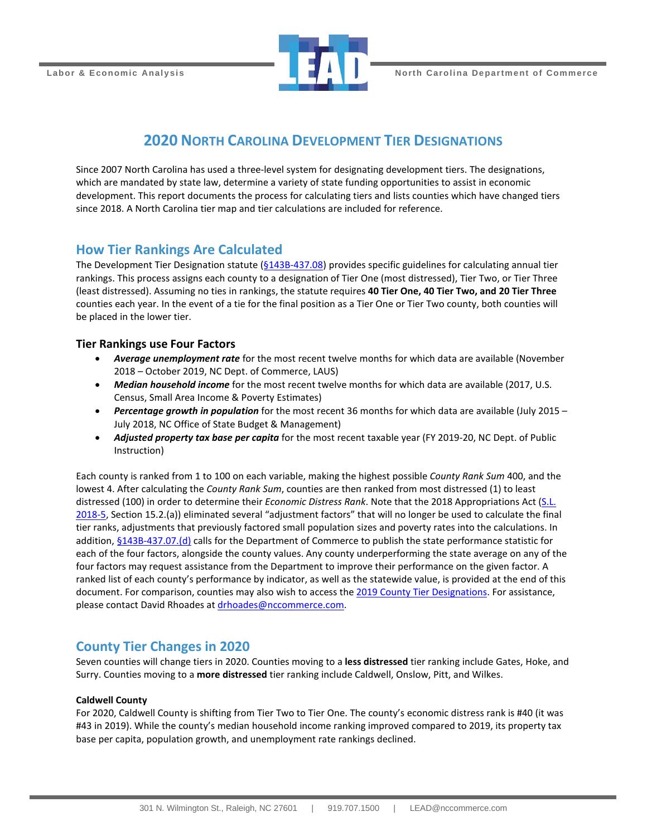

## **2020 NORTH CAROLINA DEVELOPMENT TIER DESIGNATIONS**

Since 2007 North Carolina has used a three-level system for designating development tiers. The designations, which are mandated by state law, determine a variety of state funding opportunities to assist in economic development. This report documents the process for calculating tiers and lists counties which have changed tiers since 2018. A North Carolina tier map and tier calculations are included for reference.

## **How Tier Rankings Are Calculated**

The Development Tier Designation statute [\(§143B-437.08\)](http://www.ncleg.net/EnactedLegislation/Statutes/HTML/BySection/Chapter_143B/GS_143B-437.08.html) provides specific guidelines for calculating annual tier rankings. This process assigns each county to a designation of Tier One (most distressed), Tier Two, or Tier Three (least distressed). Assuming no ties in rankings, the statute requires **40 Tier One, 40 Tier Two, and 20 Tier Three** counties each year. In the event of a tie for the final position as a Tier One or Tier Two county, both counties will be placed in the lower tier.

### **Tier Rankings use Four Factors**

- *Average unemployment rate* for the most recent twelve months for which data are available (November 2018 – October 2019, NC Dept. of Commerce, LAUS)
- Median household income for the most recent twelve months for which data are available (2017, U.S. Census, Small Area Income & Poverty Estimates)
- *Percentage growth in population* for the most recent 36 months for which data are available (July 2015 July 2018, NC Office of State Budget & Management)
- *Adjusted property tax base per capita* for the most recent taxable year (FY 2019-20, NC Dept. of Public Instruction)

Each county is ranked from 1 to 100 on each variable, making the highest possible *County Rank Sum* 400, and the lowest 4. After calculating the *County Rank Sum*, counties are then ranked from most distressed (1) to least distressed (100) in order to determine their *Economic Distress Rank*. Note that the 2018 Appropriations Act [\(S.L.](https://www.ncleg.net/EnactedLegislation/SessionLaws/PDF/2017-2018/SL2018-5.pdf)  [2018-5,](https://www.ncleg.net/EnactedLegislation/SessionLaws/PDF/2017-2018/SL2018-5.pdf) Section 15.2.(a)) eliminated several "adjustment factors" that will no longer be used to calculate the final tier ranks, adjustments that previously factored small population sizes and poverty rates into the calculations. In addition, [§143B-437.07.\(d\)](https://www.ncleg.gov/EnactedLegislation/Statutes/PDF/BySection/Chapter_143B/GS_143B-437.07.pdf#page=2) calls for the Department of Commerce to publish the state performance statistic for each of the four factors, alongside the county values. Any county underperforming the state average on any of the four factors may request assistance from the Department to improve their performance on the given factor. A ranked list of each county's performance by indicator, as well as the statewide value, is provided at the end of this document. For comparison, counties may also wish to access th[e 2019 County Tier Designations.](https://files.nc.gov/nccommerce/documents/files/2019-Tiers-memo_asPublished.pdf) For assistance, please contact David Rhoades at [drhoades@nccommerce.com.](mailto:drhoades@nccommerce.com)

## **County Tier Changes in 2020**

Seven counties will change tiers in 2020. Counties moving to a **less distressed** tier ranking include Gates, Hoke, and Surry. Counties moving to a **more distressed** tier ranking include Caldwell, Onslow, Pitt, and Wilkes.

#### **Caldwell County**

For 2020, Caldwell County is shifting from Tier Two to Tier One. The county's economic distress rank is #40 (it was #43 in 2019). While the county's median household income ranking improved compared to 2019, its property tax base per capita, population growth, and unemployment rate rankings declined.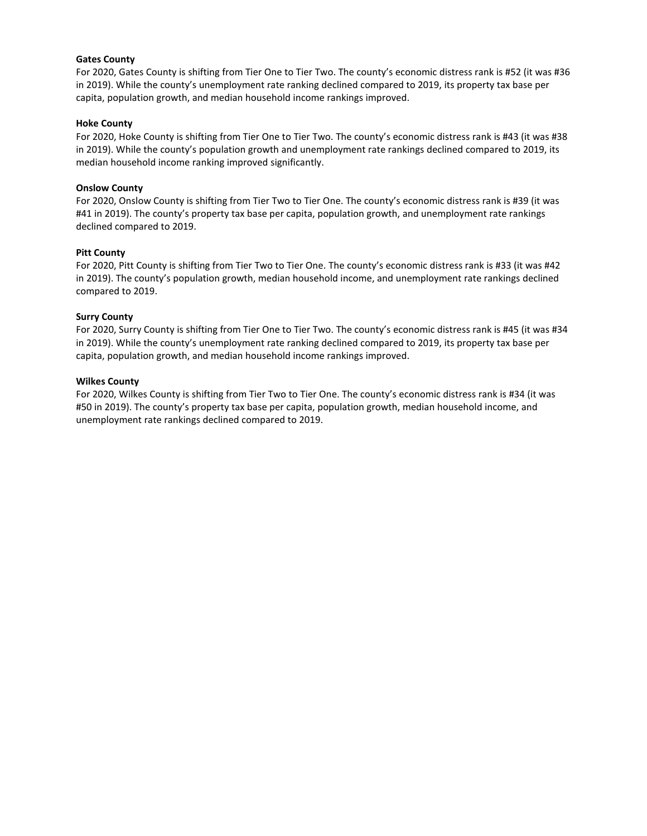#### **Gates County**

For 2020, Gates County is shifting from Tier One to Tier Two. The county's economic distress rank is #52 (it was #36 in 2019). While the county's unemployment rate ranking declined compared to 2019, its property tax base per capita, population growth, and median household income rankings improved.

#### **Hoke County**

For 2020, Hoke County is shifting from Tier One to Tier Two. The county's economic distress rank is #43 (it was #38 in 2019). While the county's population growth and unemployment rate rankings declined compared to 2019, its median household income ranking improved significantly.

#### **Onslow County**

For 2020, Onslow County is shifting from Tier Two to Tier One. The county's economic distress rank is #39 (it was #41 in 2019). The county's property tax base per capita, population growth, and unemployment rate rankings declined compared to 2019.

#### **Pitt County**

For 2020, Pitt County is shifting from Tier Two to Tier One. The county's economic distress rank is #33 (it was #42 in 2019). The county's population growth, median household income, and unemployment rate rankings declined compared to 2019.

#### **Surry County**

For 2020, Surry County is shifting from Tier One to Tier Two. The county's economic distress rank is #45 (it was #34 in 2019). While the county's unemployment rate ranking declined compared to 2019, its property tax base per capita, population growth, and median household income rankings improved.

#### **Wilkes County**

For 2020, Wilkes County is shifting from Tier Two to Tier One. The county's economic distress rank is #34 (it was #50 in 2019). The county's property tax base per capita, population growth, median household income, and unemployment rate rankings declined compared to 2019.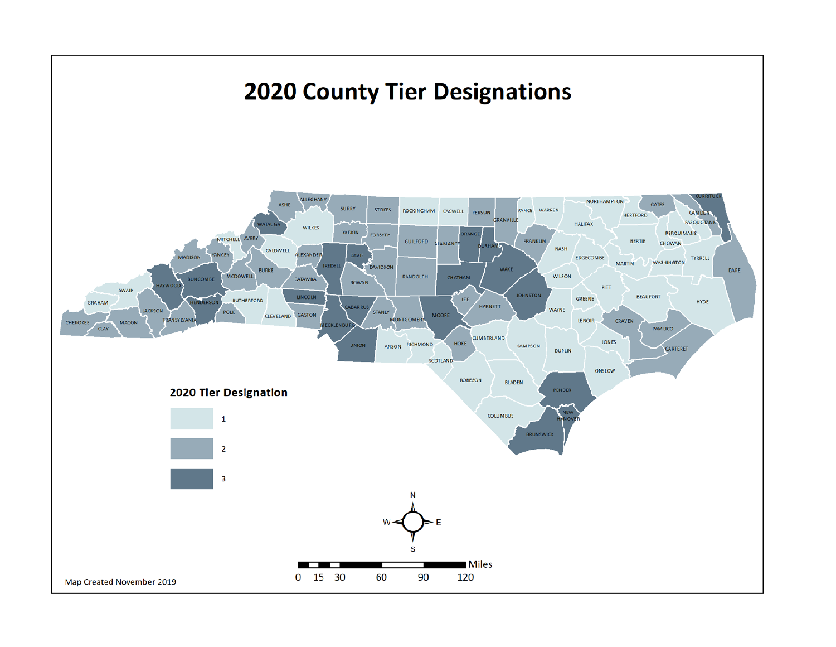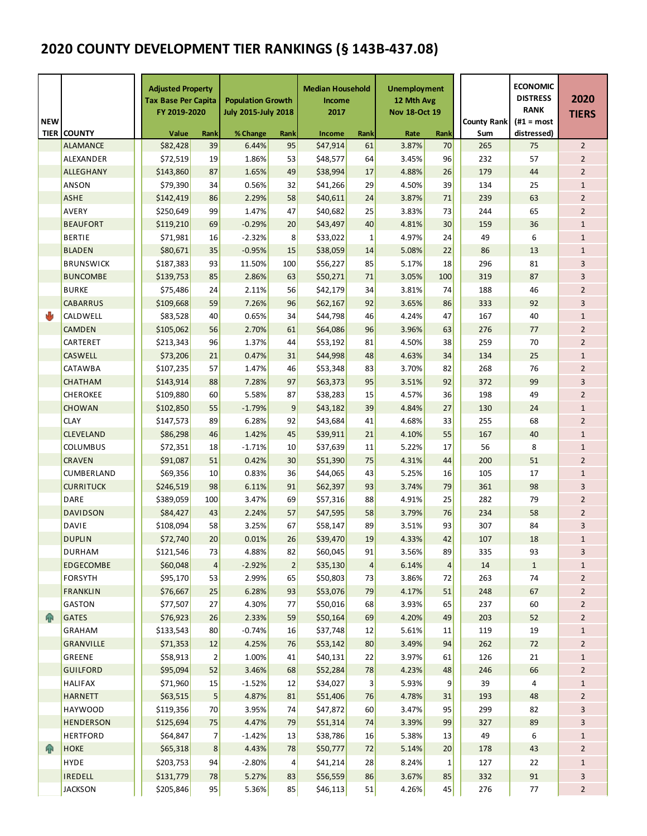# **2020 COUNTY DEVELOPMENT TIER RANKINGS (§ 143B-437.08)**

| <b>NEW</b><br><b>TIER</b> | <b>COUNTY</b>    |                | <b>Adjusted Property</b><br><b>Tax Base Per Capita</b><br>FY 2019-2020<br>Value | Rank           | <b>Population Growth</b><br><b>July 2015-July 2018</b><br>% Change | Rank           | <b>Median Household</b><br><b>Income</b><br>2017<br>Income | Rank                    | <b>Unemployment</b><br>12 Mth Avg<br><b>Nov 18-Oct 19</b><br>Rate | Rank                    | <b>County Rank</b><br>Sum | <b>ECONOMIC</b><br><b>DISTRESS</b><br><b>RANK</b><br>$(H1 = most$<br>distressed) | 2020<br><b>TIERS</b> |  |
|---------------------------|------------------|----------------|---------------------------------------------------------------------------------|----------------|--------------------------------------------------------------------|----------------|------------------------------------------------------------|-------------------------|-------------------------------------------------------------------|-------------------------|---------------------------|----------------------------------------------------------------------------------|----------------------|--|
|                           | <b>ALAMANCE</b>  |                | \$82,428<br>39                                                                  |                | 6.44%<br>95                                                        |                | \$47,914                                                   | 61                      | 3.87%                                                             | 70                      | 265                       | 75                                                                               | $\overline{2}$       |  |
|                           | ALEXANDER        |                | \$72,519                                                                        | 19             | 1.86%                                                              | 53             | \$48,577                                                   | 64                      | 3.45%                                                             | 96                      | 232                       | 57                                                                               | $\overline{2}$       |  |
|                           | <b>ALLEGHANY</b> |                | \$143,860                                                                       | 87             | 1.65%                                                              | 49             | \$38,994                                                   | 17                      | 4.88%                                                             | 26                      | 179                       | 44                                                                               | $\overline{2}$       |  |
|                           | <b>ANSON</b>     |                | \$79,390<br>34                                                                  |                | 0.56%                                                              | 32             | \$41,266                                                   | 29                      | 4.50%                                                             | 39                      | 134                       | 25                                                                               | $\mathbf{1}$         |  |
|                           | <b>ASHE</b>      |                | \$142,419<br>86                                                                 |                | 2.29%                                                              | 58             | \$40,611                                                   | 24                      | 3.87%                                                             | 71                      | 239                       | 63                                                                               | $\overline{2}$       |  |
|                           | <b>AVERY</b>     |                | \$250,649                                                                       | 99             | 1.47%                                                              | 47             | \$40,682                                                   | 25                      | 3.83%                                                             | 73                      | 244                       | 65                                                                               | $\overline{2}$       |  |
|                           | <b>BEAUFORT</b>  |                | \$119,210                                                                       | 69             | $-0.29%$                                                           | 20             | \$43,497                                                   | 40                      | 4.81%                                                             | 30                      | 159                       | 36                                                                               | $\mathbf{1}$         |  |
|                           | <b>BERTIE</b>    |                | \$71,981                                                                        | 16             | $-2.32%$                                                           | 8              | \$33,022                                                   | 1                       | 4.97%                                                             | 24                      | 49                        | 6                                                                                | $\mathbf 1$          |  |
|                           | <b>BLADEN</b>    |                | \$80,671                                                                        | 35             | $-0.95%$                                                           | 15             | \$38,059                                                   | 14                      | 5.08%                                                             | 22                      | 86                        | 13                                                                               | $\mathbf 1$          |  |
|                           | <b>BRUNSWICK</b> |                | \$187,383                                                                       | 93             | 11.50%                                                             | 100            | \$56,227                                                   | 85                      | 5.17%                                                             | 18                      | 296                       | 81                                                                               | 3                    |  |
|                           | <b>BUNCOMBE</b>  |                | \$139,753                                                                       | 85             | 2.86%                                                              | 63             | \$50,271                                                   | 71                      | 3.05%                                                             | 100                     | 319                       | 87                                                                               | 3                    |  |
|                           | <b>BURKE</b>     | 24<br>\$75,486 |                                                                                 |                | 2.11%                                                              | 56             | \$42,179                                                   | 34                      | 3.81%                                                             | 74                      | 188                       | 46                                                                               | $\overline{2}$       |  |
|                           | <b>CABARRUS</b>  | \$109,668      |                                                                                 | 59             | 7.26%                                                              | 96             | \$62,167                                                   | 92                      | 3.65%                                                             | 86                      | 333                       | 92                                                                               | 3                    |  |
| ۷b                        | CALDWELL         |                | \$83,528                                                                        | 40             | 0.65%                                                              | 34             | \$44,798                                                   | 46                      | 4.24%                                                             | 47                      | 167                       | 40                                                                               | $\mathbf{1}$         |  |
|                           | <b>CAMDEN</b>    |                | \$105,062                                                                       | 56             | 2.70%                                                              | 61             | \$64,086                                                   | 96                      | 3.96%                                                             | 63                      | 276                       | 77                                                                               | $\overline{2}$       |  |
|                           | CARTERET         |                | \$213,343                                                                       | 96             | 1.37%                                                              | 44             | \$53,192                                                   | 81                      | 4.50%                                                             | 38                      | 259                       | 70                                                                               | $\overline{2}$       |  |
|                           | <b>CASWELL</b>   |                | \$73,206                                                                        | 21             | 0.47%                                                              | 31             | \$44,998                                                   | 48                      | 4.63%                                                             | 34                      | 134                       | 25                                                                               | $\mathbf{1}$         |  |
|                           | <b>CATAWBA</b>   |                | \$107,235                                                                       | 57             | 1.47%                                                              | 46             | \$53,348                                                   | 83                      | 3.70%                                                             | 82                      | 268                       | 76                                                                               | $\overline{2}$       |  |
|                           | <b>CHATHAM</b>   |                | \$143,914                                                                       | 88             | 7.28%                                                              | 97             | \$63,373                                                   | 95                      | 3.51%                                                             | 92                      | 372                       | 99                                                                               | 3                    |  |
|                           | <b>CHEROKEE</b>  |                | \$109,880                                                                       | 60             | 5.58%                                                              | 87             | \$38,283                                                   | 15                      | 4.57%                                                             | 36                      | 198                       | 49                                                                               | $\overline{2}$       |  |
|                           | <b>CHOWAN</b>    |                | \$102,850                                                                       | 55             | $-1.79%$                                                           | 9              | \$43,182                                                   | 39                      | 4.84%                                                             | 27                      | 130                       | 24                                                                               | $\mathbf{1}$         |  |
|                           | <b>CLAY</b>      |                | \$147,573                                                                       | 89             | 6.28%                                                              | 92             | \$43,684                                                   | 41                      | 4.68%                                                             | 33                      | 255                       | 68                                                                               | $\overline{2}$       |  |
|                           | <b>CLEVELAND</b> |                | \$86,298                                                                        | 46             | 1.42%                                                              | 45             | \$39,911                                                   | 21                      | 4.10%                                                             | 55                      | 167                       | 40                                                                               | $\mathbf{1}$         |  |
|                           | <b>COLUMBUS</b>  |                | \$72,351                                                                        | 18             | $-1.71%$                                                           | 10             | \$37,639                                                   | 11                      | 5.22%                                                             | 17                      | 56                        | 8                                                                                | $\mathbf{1}$         |  |
|                           | <b>CRAVEN</b>    |                | \$91,087                                                                        | 51             | 0.42%                                                              | 30             | \$51,390                                                   | 75                      | 4.31%                                                             | 44                      | 200                       | 51                                                                               | $\overline{2}$       |  |
|                           | CUMBERLAND       |                | \$69,356                                                                        | 10             | 0.83%                                                              | 36             | \$44,065                                                   | 43                      | 5.25%                                                             | 16                      | 105                       | 17                                                                               | $\mathbf{1}$         |  |
|                           | <b>CURRITUCK</b> |                | \$246,519                                                                       | 98             | 6.11%                                                              | 91             | \$62,397                                                   | 93                      | 3.74%                                                             | 79                      | 361                       | 98                                                                               | 3                    |  |
|                           | <b>DARE</b>      |                | \$389,059                                                                       | 100            | 3.47%                                                              | 69             | \$57,316                                                   | 88                      | 4.91%                                                             | 25                      | 282                       | 79                                                                               | $\overline{2}$       |  |
|                           | <b>DAVIDSON</b>  |                | \$84,427                                                                        | 43             | 2.24%                                                              | 57             | \$47,595                                                   | 58                      | 3.79%                                                             | 76                      | 234                       | 58                                                                               | $\overline{2}$       |  |
|                           | <b>DAVIE</b>     |                | \$108,094                                                                       | 58             | 3.25%                                                              | 67             | \$58,147                                                   | 89                      | 3.51%                                                             | 93                      | 307                       | 84                                                                               | 3                    |  |
|                           | <b>DUPLIN</b>    |                | \$72,740                                                                        | 20             | 0.01%                                                              | 26             | \$39,470                                                   | 19                      | 4.33%                                                             | 42                      | 107                       | 18                                                                               | $\mathbf{1}$         |  |
|                           | <b>DURHAM</b>    |                | \$121,546                                                                       | 73             | 4.88%                                                              | 82             | \$60,045                                                   | 91                      | 3.56%                                                             | 89                      | 335                       | 93                                                                               | 3                    |  |
|                           | <b>EDGECOMBE</b> |                | \$60,048                                                                        | $\overline{4}$ | $-2.92%$                                                           | $\overline{2}$ | \$35,130                                                   | $\overline{\mathbf{4}}$ | 6.14%                                                             | $\overline{\mathbf{r}}$ | $14\,$                    | $\mathbf 1$                                                                      | $\mathbf{1}$         |  |
|                           | <b>FORSYTH</b>   |                | \$95,170                                                                        | 53             | 2.99%                                                              | 65             | \$50,803                                                   | 73                      | 3.86%                                                             | 72                      | 263                       | 74                                                                               | $\overline{2}$       |  |
|                           | <b>FRANKLIN</b>  |                | \$76,667                                                                        | 25             | 6.28%                                                              | 93             | \$53,076                                                   | 79                      | 4.17%                                                             | 51                      | 248                       | 67                                                                               | $\overline{2}$       |  |
|                           | GASTON           |                | \$77,507                                                                        | 27             | 4.30%                                                              | 77             | \$50,016                                                   | 68                      | 3.93%                                                             | 65                      | 237                       | 60                                                                               | $\overline{2}$       |  |
| h <sub>R</sub>            | <b>GATES</b>     |                | \$76,923                                                                        | 26             | 2.33%                                                              | 59             | \$50,164                                                   | 69                      | 4.20%                                                             | 49                      | 203                       | 52                                                                               | $\overline{2}$       |  |
|                           | GRAHAM           |                | \$133,543                                                                       | 80             | $-0.74%$                                                           | 16             | \$37,748                                                   | 12                      | 5.61%                                                             | 11                      | 119                       | 19                                                                               | $\mathbf{1}$         |  |
|                           | <b>GRANVILLE</b> |                | \$71,353                                                                        | 12             | 4.25%                                                              | 76             | \$53,142                                                   | 80                      | 3.49%                                                             | 94                      | 262                       | 72                                                                               | $\overline{2}$       |  |
|                           | GREENE           |                | \$58,913                                                                        | $\overline{2}$ | 1.00%                                                              | 41             | \$40,131                                                   | 22                      | 3.97%                                                             | 61                      | 126                       | 21                                                                               | $\mathbf{1}$         |  |
|                           | <b>GUILFORD</b>  |                | \$95,094                                                                        | 52             | 3.46%                                                              | 68             | \$52,284                                                   | 78                      | 4.23%                                                             | 48                      | 246                       | 66                                                                               | $\overline{2}$       |  |
|                           | <b>HALIFAX</b>   |                | \$71,960                                                                        | 15             | $-1.52%$                                                           | 12             | \$34,027                                                   | 3                       | 5.93%                                                             | 9                       | 39                        | 4                                                                                | $\mathbf{1}$         |  |
|                           | <b>HARNETT</b>   |                | \$63,515                                                                        | 5              | 4.87%                                                              | 81             | \$51,406                                                   | 76                      | 4.78%                                                             | 31                      | 193                       | 48                                                                               | $\overline{2}$       |  |
|                           | <b>HAYWOOD</b>   |                | \$119,356                                                                       | 70             | 3.95%                                                              | 74             | \$47,872                                                   | 60                      | 3.47%                                                             | 95                      | 299                       | 82                                                                               | 3                    |  |
|                           | <b>HENDERSON</b> |                | \$125,694                                                                       | 75             | 4.47%                                                              | 79             | \$51,314                                                   | 74                      | 3.39%                                                             | 99                      | 327                       | 89                                                                               | 3                    |  |
|                           | <b>HERTFORD</b>  |                | \$64,847                                                                        | 7              | $-1.42%$                                                           | 13             | \$38,786                                                   | 16                      | 5.38%                                                             | 13                      | 49                        | 6                                                                                | $\mathbf{1}$         |  |
| h <sub>R</sub>            | <b>HOKE</b>      |                | \$65,318                                                                        | 8              | 4.43%                                                              | 78             | \$50,777                                                   | 72                      | 5.14%                                                             | 20 <sub>2</sub>         | 178                       | 43                                                                               | $\overline{2}$       |  |
|                           | <b>HYDE</b>      |                | \$203,753                                                                       | 94             | $-2.80%$                                                           | 4 <sup>1</sup> | \$41,214                                                   | 28                      | 8.24%                                                             | 1                       | 127                       | 22                                                                               | $\mathbf{1}$         |  |
|                           | <b>IREDELL</b>   |                | \$131,779                                                                       | 78             | 5.27%                                                              | 83             | \$56,559                                                   | 86                      | 3.67%                                                             | 85                      | 332                       | 91                                                                               | 3                    |  |
|                           | <b>JACKSON</b>   |                | \$205,846                                                                       | 95             | 5.36%                                                              | 85             | \$46,113                                                   | 51                      | 4.26%                                                             | 45                      | 276                       | 77                                                                               | $\overline{2}$       |  |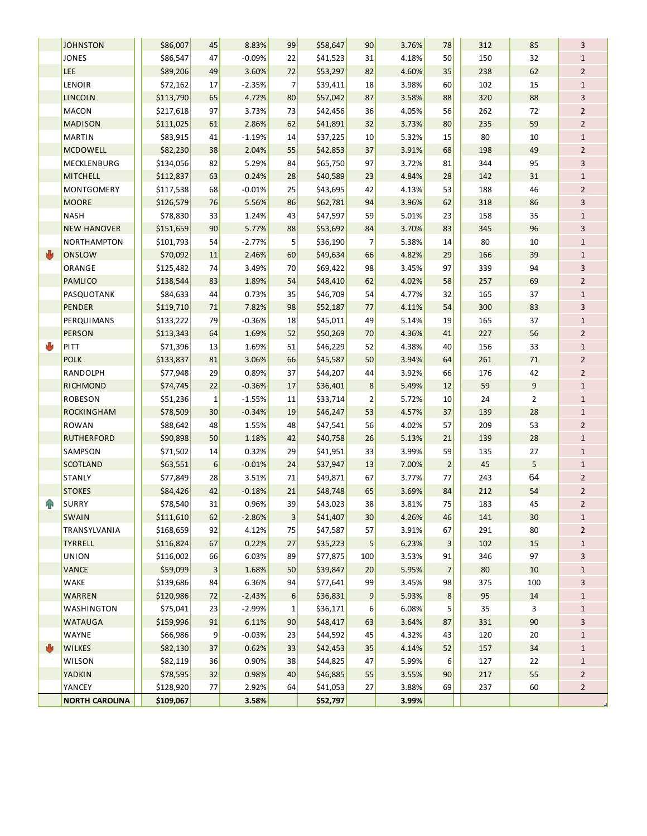|   | <b>JOHNSTON</b>       | \$86,007              | 45                        | 8.83%          | 99               | \$58,647             | 90             | 3.76%          | 78                      | 312        | 85             | 3              |
|---|-----------------------|-----------------------|---------------------------|----------------|------------------|----------------------|----------------|----------------|-------------------------|------------|----------------|----------------|
|   | <b>JONES</b>          | \$86,547              | 47                        | $-0.09%$       | 22               | \$41,523             | 31             | 4.18%          | 50                      | 150        | 32             | $\mathbf{1}$   |
|   | <b>LEE</b>            | \$89,206              | 49                        | 3.60%          | 72               | \$53,297             | 82             | 4.60%          | 35                      | 238        | 62             | $\overline{2}$ |
|   | LENOIR                | \$72,162              | 17                        | $-2.35%$       | $\overline{7}$   | \$39,411             | 18             | 3.98%          | 60                      | 102        | 15             | $\mathbf{1}$   |
|   | <b>LINCOLN</b>        | \$113,790             | 65                        | 4.72%          | 80               | \$57,042             | 87             | 3.58%          | 88                      | 320        | 88             | 3              |
|   | <b>MACON</b>          | \$217,618             | 97                        | 3.73%          | 73               | \$42,456             | 36             | 4.05%          | 56                      | 262        | 72             | $\overline{2}$ |
|   | <b>MADISON</b>        | \$111,025             | 61                        | 2.86%          | 62               | \$41,891             | 32             | 3.73%          | 80                      | 235        | 59             | $\overline{2}$ |
|   | <b>MARTIN</b>         | \$83,915              | 41                        | $-1.19%$       | 14               | \$37,225             | 10             | 5.32%          | 15                      | 80         | 10             | $\mathbf{1}$   |
|   | <b>MCDOWELL</b>       | \$82,230              | 38                        | 2.04%          | 55               | \$42,853             | 37             | 3.91%          | 68                      | 198        | 49             | $\overline{2}$ |
|   | MECKLENBURG           | \$134,056             | 82                        | 5.29%          | 84               | \$65,750             | 97             | 3.72%          | 81                      | 344        | 95             | 3              |
|   | <b>MITCHELL</b>       | \$112,837             | 63                        | 0.24%          | 28               | \$40,589             | 23             | 4.84%          | 28                      | 142        | 31             | $\mathbf{1}$   |
|   | <b>MONTGOMERY</b>     | \$117,538             | 68                        | $-0.01%$       | 25               | \$43,695             | 42             | 4.13%          | 53                      | 188        | 46             | $\overline{2}$ |
|   | <b>MOORE</b>          | \$126,579             | 76                        | 5.56%          | 86               | \$62,781             | 94             | 3.96%          | 62                      | 318        | 86             | 3              |
|   | <b>NASH</b>           | \$78,830              | 33                        | 1.24%          | 43               | \$47,597             | 59             | 5.01%          | 23                      | 158        | 35             | $\mathbf{1}$   |
|   | <b>NEW HANOVER</b>    | \$151,659             | 90                        | 5.77%          | 88               | \$53,692             | 84             | 3.70%          | 83                      | 345        | 96             | 3              |
|   | <b>NORTHAMPTON</b>    | \$101,793             | 54                        | $-2.77%$       | 5                | \$36,190             | 7              | 5.38%          | 14                      | 80         | 10             | $\mathbf{1}$   |
| 西 | <b>ONSLOW</b>         | \$70,092              | 11                        | 2.46%          | 60               | \$49,634             | 66             | 4.82%          | 29                      | 166        | 39             | $\mathbf{1}$   |
|   | ORANGE                | \$125,482             | 74                        | 3.49%          | 70               | \$69,422             | 98             | 3.45%          | 97                      | 339        | 94             | 3              |
|   | <b>PAMLICO</b>        | \$138,544             | 83                        | 1.89%          | 54               | \$48,410             | 62             | 4.02%          | 58                      | 257        | 69             | $\overline{2}$ |
|   | PASQUOTANK            | \$84,633              | 44                        | 0.73%          | 35               | \$46,709             | 54             | 4.77%          | 32                      | 165        | 37             | $\mathbf{1}$   |
|   | <b>PENDER</b>         | \$119,710             | 71                        | 7.82%          | 98               | \$52,187             | 77             | 4.11%          | 54                      | 300        | 83             | 3              |
|   | PERQUIMANS            | \$133,222             | 79                        | $-0.36%$       | 18               | \$45,011             | 49             | 5.14%          | 19                      | 165        | 37             | $\mathbf{1}$   |
|   | <b>PERSON</b>         | \$113,343             | 64                        | 1.69%          | 52               | \$50,269             | 70             | 4.36%          | 41                      | 227        | 56             | $\overline{2}$ |
| U | PITT                  | \$71,396              | 13                        | 1.69%          | 51               | \$46,229             | 52             | 4.38%          | 40                      | 156        | 33             | $1\,$          |
|   | <b>POLK</b>           | \$133,837             | 81                        | 3.06%          | 66               | \$45,587             | 50             | 3.94%          | 64                      | 261        | 71             | $\overline{2}$ |
|   | RANDOLPH              | \$77,948              | 29                        | 0.89%          | 37               | \$44,207             | 44             | 3.92%          | 66                      | 176        | 42             | $\overline{2}$ |
|   | <b>RICHMOND</b>       | \$74,745              | 22                        | $-0.36%$       | 17               | \$36,401             | 8              | 5.49%          | 12                      | 59         | 9              | $1\,$          |
|   | <b>ROBESON</b>        | \$51,236              | 1                         | $-1.55%$       | 11               | \$33,714             | $\overline{2}$ | 5.72%          | 10                      | 24         | $\overline{2}$ | $\mathbf{1}$   |
|   | <b>ROCKINGHAM</b>     | \$78,509              | 30                        | $-0.34%$       | 19               | \$46,247             | 53             | 4.57%          | 37                      | 139        | 28             | $\mathbf{1}$   |
|   | <b>ROWAN</b>          | \$88,642              | 48                        | 1.55%          | 48               | \$47,541             | 56             | 4.02%          | 57                      | 209        | 53             | $\overline{2}$ |
|   | <b>RUTHERFORD</b>     | \$90,898              | 50                        | 1.18%          | 42               | \$40,758             | 26             | 5.13%          | 21                      | 139        | 28             | $\mathbf{1}$   |
|   | SAMPSON               | \$71,502              | 14                        | 0.32%          | 29               | \$41,951             | 33             | 3.99%          | 59                      | 135        | 27             | $\mathbf{1}$   |
|   | <b>SCOTLAND</b>       | \$63,551              | 6                         | $-0.01%$       | 24               | \$37,947             | 13             | 7.00%          | $\overline{\mathbf{c}}$ | 45         | 5              | $\mathbf{1}$   |
|   | <b>STANLY</b>         | \$77,849              | 28                        | 3.51%          | 71               | \$49,871             | 67             | 3.77%          | 77                      | 243        | 64             | $\overline{2}$ |
|   | <b>STOKES</b>         | \$84,426              | 42                        | $-0.18%$       | 21               | \$48,748             | 65             | 3.69%          | 84                      | 212        | 54             | $\overline{2}$ |
| 仆 | <b>SURRY</b>          | \$78,540              | 31                        | 0.96%          | 39               | \$43,023             | 38             | 3.81%          | 75                      | 183        | 45             | $\overline{2}$ |
|   | SWAIN                 | \$111,610             | 62                        | $-2.86%$       | 3 <sup>2</sup>   | \$41,407             | 30             | 4.26%          | 46                      | 141        | 30             | $\mathbf{1}$   |
|   | TRANSYLVANIA          | \$168,659             | 92                        | 4.12%          | 75               | \$47,587             | 57             | 3.91%          | 67                      | 291        | 80             | $\overline{2}$ |
|   | TYRRELL               | \$116,824             | 67                        | 0.22%          | 27               | \$35,223             | 5              | 6.23%          | 3                       | 102        | 15             | 1              |
|   | <b>UNION</b>          | \$116,002             | 66                        | 6.03%          | 89               | \$77,875             | 100            | 3.53%          | 91                      | 346        | 97             | 3              |
|   | <b>VANCE</b>          | \$59,099              | $\ensuremath{\mathsf{3}}$ | 1.68%          | 50               | \$39,847             | 20             | 5.95%          | $\overline{7}$          | 80         | 10             | $\mathbf{1}$   |
|   | WAKE                  | \$139,686             | 84                        | 6.36%          | 94               | \$77,641             | 99             | 3.45%          | 98                      | 375        | 100            | 3              |
|   | <b>WARREN</b>         | \$120,986             | 72                        | $-2.43%$       | $\boldsymbol{6}$ | \$36,831             | 9              | 5.93%          | 8                       | 95         | 14             | $\mathbf{1}$   |
|   | WASHINGTON            | \$75,041              | 23                        | $-2.99%$       | 1                | \$36,171             | 6              | 6.08%          | 5                       | 35         | 3              | 1              |
|   | <b>WATAUGA</b>        | \$159,996             | 91                        | 6.11%          | 90               | \$48,417             | 63             | 3.64%          | 87                      | 331        | 90             | 3              |
|   | WAYNE                 | \$66,986              | 9                         | $-0.03%$       | 23               | \$44,592             | 45             | 4.32%          | 43                      | 120        | 20             | $\mathbf{1}$   |
| 西 | <b>WILKES</b>         | \$82,130              | 37                        | 0.62%          | 33               | \$42,453             | 35             | 4.14%          | 52                      | 157        | 34             | $\mathbf{1}$   |
|   | WILSON                | \$82,119              | 36                        | 0.90%          | 38               | \$44,825             | 47             | 5.99%          | 6                       | 127        | 22             | $\mathbf{1}$   |
|   | YADKIN<br>YANCEY      | \$78,595<br>\$128,920 | 32<br>77                  | 0.98%<br>2.92% | 40               | \$46,885             | 55<br>27       | 3.55%<br>3.88% | 90<br>69                | 217<br>237 | 55<br>60       | $\overline{2}$ |
|   | <b>NORTH CAROLINA</b> | \$109,067             |                           | 3.58%          | 64               | \$41,053<br>\$52,797 |                | 3.99%          |                         |            |                | $\overline{2}$ |
|   |                       |                       |                           |                |                  |                      |                |                |                         |            |                |                |